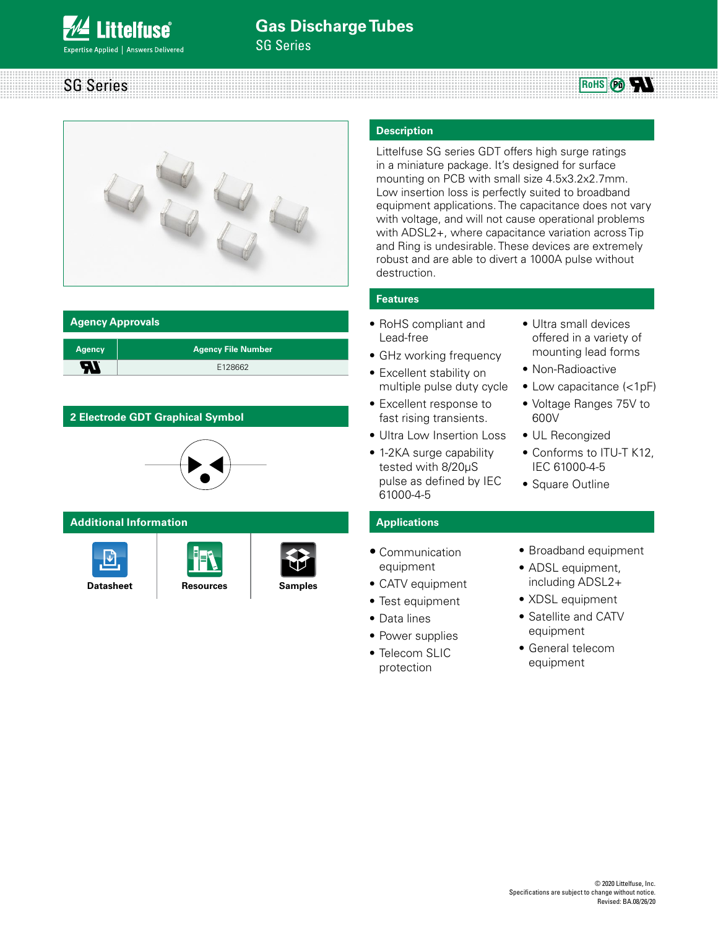SG Series







#### **Agency Approvals**

| <b>Agency</b> | <b>Agency File Number</b> |
|---------------|---------------------------|
| ъ             | E128662                   |
|               |                           |

# **2 Electrode GDT Graphical Symbol**



#### **Additional Information**







#### **Description**

Littelfuse SG series GDT offers high surge ratings in a miniature package. It's designed for surface mounting on PCB with small size 4.5x3.2x2.7mm. Low insertion loss is perfectly suited to broadband equipment applications. The capacitance does not vary with voltage, and will not cause operational problems with ADSL2+, where capacitance variation across Tip and Ring is undesirable. These devices are extremely robust and are able to divert a 1000A pulse without destruction.

### **Features**

- RoHS compliant and Lead-free
- GHz working frequency
- Excellent stability on multiple pulse duty cycle
- Excellent response to fast rising transients.
- Ultra Low Insertion Loss
- 1-2KA surge capability tested with 8/20μS pulse as defined by IEC 61000-4-5
- Ultra small devices offered in a variety of mounting lead forms
- Non-Radioactive
- Low capacitance (<1pF)
- Voltage Ranges 75V to 600V
- UL Recongized
- Conforms to ITU-T K12, IEC 61000-4-5
- Square Outline

## **Applications**

- Communication equipment
- CATV equipment
- Test equipment
- Data lines

protection

- Power supplies
- Telecom SLIC
- Broadband equipment
- ADSL equipment, including ADSL2+
- XDSL equipment
- Satellite and CATV equipment
- General telecom equipment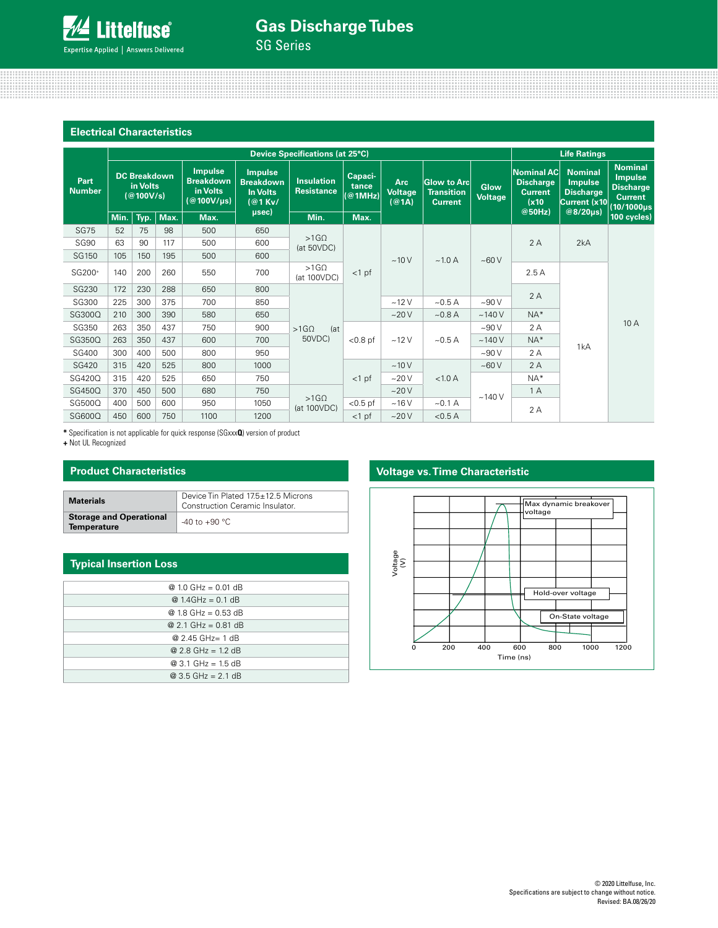SG Series

| <b>Electrical Characteristics</b> |                                              |                                 |                                                              |                                                                   |                                 |                                  |                                       |                                                           |                               |                                                           |                                                                      |                                                                                             |               |       |  |
|-----------------------------------|----------------------------------------------|---------------------------------|--------------------------------------------------------------|-------------------------------------------------------------------|---------------------------------|----------------------------------|---------------------------------------|-----------------------------------------------------------|-------------------------------|-----------------------------------------------------------|----------------------------------------------------------------------|---------------------------------------------------------------------------------------------|---------------|-------|--|
|                                   |                                              | Device Specifications (at 25°C) |                                                              |                                                                   |                                 |                                  |                                       |                                                           |                               | <b>Life Ratings</b>                                       |                                                                      |                                                                                             |               |       |  |
| Part<br><b>Number</b>             | <b>DC Breakdown</b><br>in Volts<br>(@100V/s) |                                 | <b>Impulse</b><br><b>Breakdown</b><br>in Volts<br>(@100V/µs) | <b>Impulse</b><br><b>Breakdown</b><br><b>In Volts</b><br>$@1$ Kv/ | <b>Insulation</b><br>Resistance | Capaci-<br>tance<br>$@1$ MHz)    | <b>Arc</b><br><b>Voltage</b><br>(@1A) | <b>Glow to Arc</b><br><b>Transition</b><br><b>Current</b> | <b>Glow</b><br><b>Voltage</b> | Nominal AC<br><b>Discharge</b><br><b>Current</b><br>(x10) | <b>Nominal</b><br><b>Impulse</b><br><b>Discharge</b><br>Current (x10 | <b>Nominal</b><br><b>Impulse</b><br><b>Discharge</b><br><b>Current</b><br>$(10/1000 \mu s)$ |               |       |  |
|                                   | Min.                                         | Typ.                            | Max.                                                         | Max.                                                              | $_{\mu$ sec $)$                 | Min.                             | Max.                                  |                                                           |                               |                                                           | @50Hz)                                                               | @8/20µs)                                                                                    | $100$ cycles) |       |  |
| <b>SG75</b>                       | 52                                           | 75                              | 98                                                           | 500                                                               | 650                             |                                  |                                       | ~10V                                                      | $\sim$ 1.0 A                  | ~100V                                                     | 2A                                                                   | 2kA                                                                                         |               |       |  |
| <b>SG90</b>                       | 63                                           | 90                              | 117                                                          | 500                                                               | 600                             | $>1$ G $\Omega$<br>(at 50VDC)    |                                       |                                                           |                               |                                                           |                                                                      |                                                                                             |               |       |  |
| SG150                             | 105                                          | 150                             | 195                                                          | 500                                                               | 600                             |                                  |                                       |                                                           |                               |                                                           |                                                                      |                                                                                             |               |       |  |
| SG200+                            | 140                                          | 200                             | 260                                                          | 550                                                               | 700                             | $>1$ G $\Omega$<br>(at 100VDC)   | $<$ 1 pf                              |                                                           |                               | 2.5A                                                      |                                                                      |                                                                                             |               |       |  |
| <b>SG230</b>                      | 172                                          | 230                             | 288                                                          | 650                                                               | 800                             | $>1$ G $\Omega$<br>(at<br>50VDC) |                                       |                                                           |                               |                                                           | 2A                                                                   |                                                                                             |               |       |  |
| SG300                             | 225                                          | 300                             | 375                                                          | 700                                                               | 850                             |                                  |                                       |                                                           | ~12V                          | ~10.5A                                                    | ~100V                                                                |                                                                                             |               |       |  |
| SG300Q                            | 210                                          | 300                             | 390                                                          | 580                                                               | 650                             |                                  |                                       |                                                           |                               |                                                           | ~20V                                                                 | ~10.8 A                                                                                     | ~140V         | $NA*$ |  |
| SG350                             | 263                                          | 350                             | 437                                                          | 750                                                               | 900                             |                                  | $< 0.8$ pf                            | ~12V<br>~10.5A                                            |                               | ~100V                                                     | 2A                                                                   |                                                                                             | 10 A          |       |  |
| SG350Q                            | 263                                          | 350                             | 437                                                          | 600                                                               | 700                             |                                  |                                       |                                                           |                               | ~140V                                                     | $NA*$                                                                |                                                                                             |               |       |  |
| <b>SG400</b>                      | 300                                          | 400                             | 500                                                          | 800                                                               | 950                             |                                  |                                       |                                                           | ~100V                         | 2 A                                                       | 1kA                                                                  |                                                                                             |               |       |  |
| <b>SG420</b>                      | 315                                          | 420                             | 525                                                          | 800                                                               | 1000                            |                                  |                                       | ~10V                                                      |                               | ~50V                                                      | 2A                                                                   |                                                                                             |               |       |  |
| SG420Q                            | 315                                          | 420                             | 525                                                          | 650                                                               | 750                             |                                  | $<$ 1 pf                              | $-20V$                                                    | < 1.0 A                       |                                                           | $NA*$                                                                |                                                                                             |               |       |  |
| SG450Q                            | 370                                          | 450                             | 500                                                          | 680                                                               | 750                             |                                  |                                       | ~20V                                                      |                               | ~140V                                                     | 1 A                                                                  |                                                                                             |               |       |  |
| SG500Q                            | 400                                          | 500                             | 600                                                          | 950                                                               | 1050                            | $>1$ G $\Omega$<br>(at 100VDC)   | $< 0.5$ pf                            | ~16V                                                      | ~10.1 A                       |                                                           | 2A                                                                   |                                                                                             |               |       |  |
| SG600Q                            | 450                                          | 600                             | 750                                                          | 1100                                                              | 1200                            |                                  | $<$ 1 pf                              | ~20V                                                      | < 0.5 A                       |                                                           |                                                                      |                                                                                             |               |       |  |

**\*** Specification is not applicable for quick response (SGxxx**Q**) version of product

**+** Not UL Recognized

### **Product Characteristics**

| <b>Materials</b>                                     | Device Tin Plated 17.5±12.5 Microns<br><b>Construction Ceramic Insulator.</b> |  |  |
|------------------------------------------------------|-------------------------------------------------------------------------------|--|--|
| <b>Storage and Operational</b><br><b>Temperature</b> | $-40$ to $+90$ °C                                                             |  |  |

#### **Typical Insertion Loss**

| $@1.0 \text{ GHz} = 0.01 \text{ dB}$ |
|--------------------------------------|
| $@ 1.4 \text{GHz} = 0.1 \text{ dB}$  |
| $@1.8 \text{ GHz} = 0.53 \text{ dB}$ |
| $@2.1 \text{ GHz} = 0.81 \text{ dB}$ |
| @ 2.45 GHz= 1 dB                     |
| $@2.8 \text{ GHz} = 1.2 \text{ dB}$  |
| $@3.1 \text{ GHz} = 1.5 \text{ dB}$  |
| $@3.5$ GHz = 2.1 dB                  |

# **Voltage vs. Time Characteristic**

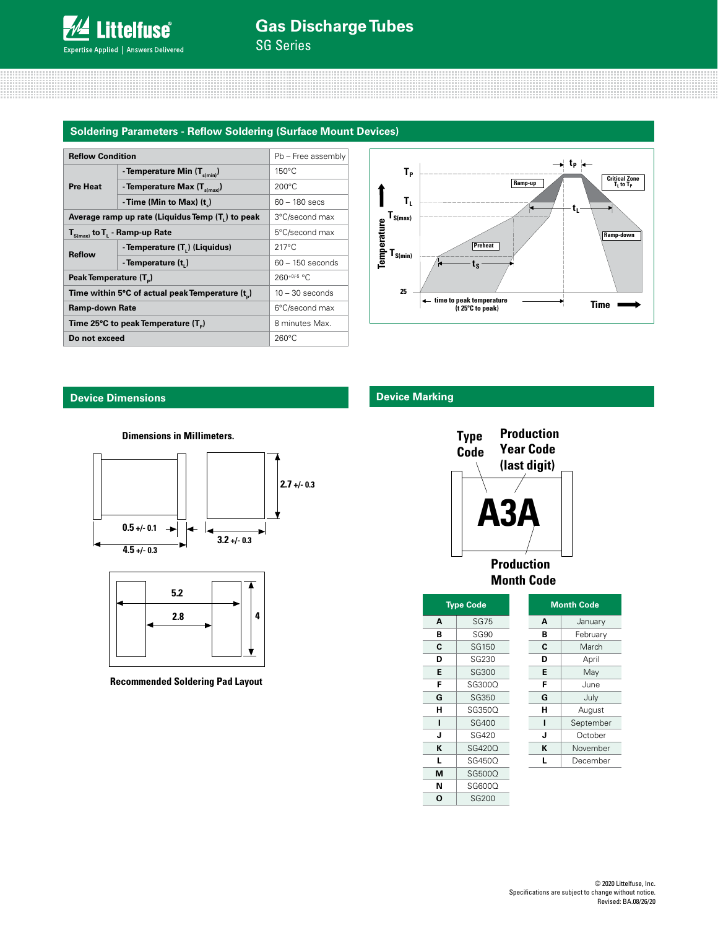SG Series

#### **Soldering Parameters - Reflow Soldering (Surface Mount Devices)**

| <b>Reflow Condition</b>                          | Pb - Free assembly                     |                    |  |
|--------------------------------------------------|----------------------------------------|--------------------|--|
| <b>Pre Heat</b>                                  | - Temperature Min $(T_{s(min)})$       | $150^{\circ}$ C    |  |
|                                                  | - Temperature Max $(T_{\text{simax}})$ | $200^{\circ}$ C    |  |
|                                                  | -Time (Min to Max) (t)                 | 60 - 180 secs      |  |
| Average ramp up rate (Liquidus Temp (T,) to peak | 3°C/second max                         |                    |  |
| $T_{S(max)}$ to $T_{L}$ - Ramp-up Rate           | 5°C/second max                         |                    |  |
| <b>Reflow</b>                                    | - Temperature $(T_L)$ (Liquidus)       | $217^{\circ}$ C    |  |
|                                                  | - Temperature (t)                      | $60 - 150$ seconds |  |
| Peak Temperature (T <sub>n</sub> )               | $260+0/5$ °C                           |                    |  |
| Time within 5°C of actual peak Temperature (t)   | $10 - 30$ seconds                      |                    |  |
| <b>Ramp-down Rate</b>                            | 6°C/second max                         |                    |  |
| Time 25°C to peak Temperature (T <sub>a</sub> )  | 8 minutes Max.                         |                    |  |
| Do not exceed                                    | $260^{\circ}$ C                        |                    |  |



#### **Device Dimensions**

#### **Dimensions in Millimeters.**





**Recommended Soldering Pad Layout**

## **Device Marking**



**Month Code**

| <b>Type Code</b> |              |  |  |  |
|------------------|--------------|--|--|--|
| A                | SG75         |  |  |  |
| в                | <b>SG90</b>  |  |  |  |
| C                | SG150        |  |  |  |
| D                | <b>SG230</b> |  |  |  |
| E                | SG300        |  |  |  |
| F                | SG300Q       |  |  |  |
| G                | SG350        |  |  |  |
| н                | SG350Q       |  |  |  |
| ı                | SG400        |  |  |  |
| J                | SG420        |  |  |  |
| ĸ                | SG420O       |  |  |  |
| L                | SG450Q       |  |  |  |
| М                | SG500Q       |  |  |  |
| N                | SG600Q       |  |  |  |
| O                | <b>SG200</b> |  |  |  |

| <b>Month Code</b> |           |  |  |
|-------------------|-----------|--|--|
| A                 | January   |  |  |
| в                 | February  |  |  |
| C                 | March     |  |  |
| D                 | April     |  |  |
| Е                 | May       |  |  |
| F                 | June      |  |  |
| G                 | July      |  |  |
| н                 | August    |  |  |
| ı                 | September |  |  |
| J                 | October   |  |  |
| ĸ                 | November  |  |  |
| L                 | December  |  |  |